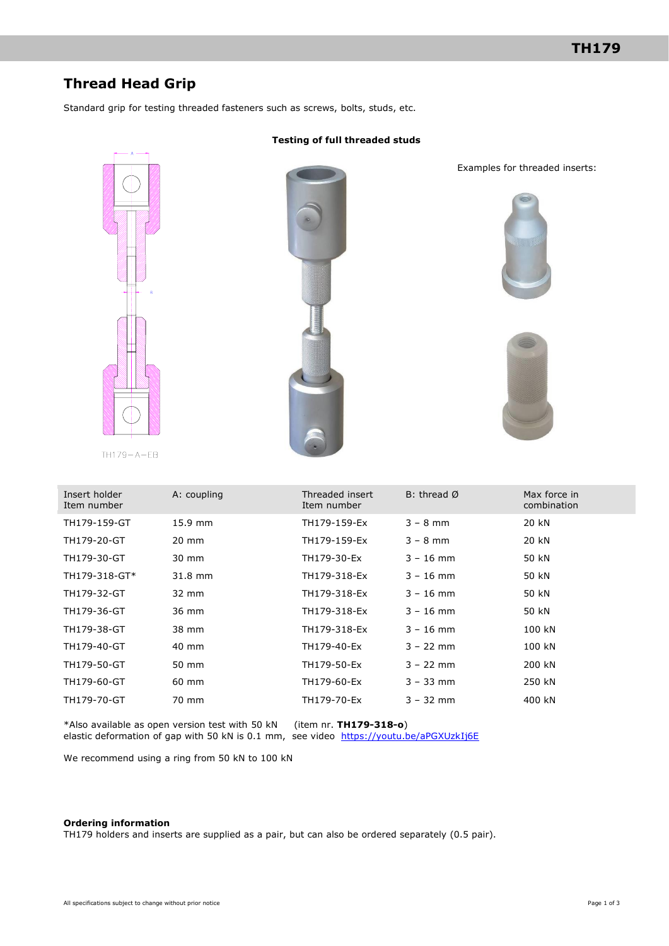# **Thread Head Grip**

Standard grip for testing threaded fasteners such as screws, bolts, studs, etc.



 $TH179 - A - EB$ 



Examples for threaded inserts:





| Insert holder<br>Item number | A: coupling     | Threaded insert<br>Item number | B: thread $\emptyset$ | Max force in<br>combination |
|------------------------------|-----------------|--------------------------------|-----------------------|-----------------------------|
| TH179-159-GT                 | $15.9$ mm       | TH179-159-Ex                   | $3 - 8$ mm            | 20 kN                       |
| TH179-20-GT                  | $20 \text{ mm}$ | TH179-159-Ex                   | $3 - 8$ mm            | 20 kN                       |
| TH179-30-GT                  | 30 mm           | TH179-30-Ex                    | $3 - 16$ mm           | 50 kN                       |
| TH179-318-GT*                | 31.8 mm         | TH179-318-Ex                   | $3 - 16$ mm           | 50 kN                       |
| TH179-32-GT                  | 32 mm           | TH179-318-Ex                   | $3 - 16$ mm           | 50 kN                       |
| TH179-36-GT                  | 36 mm           | TH179-318-Ex                   | $3 - 16$ mm           | 50 kN                       |
| TH179-38-GT                  | 38 mm           | TH179-318-Ex                   | $3 - 16$ mm           | 100 kN                      |
| TH179-40-GT                  | 40 mm           | TH179-40-Ex                    | $3 - 22$ mm           | 100 kN                      |
| TH179-50-GT                  | 50 mm           | TH179-50-Ex                    | $3 - 22$ mm           | 200 kN                      |
| TH179-60-GT                  | 60 mm           | TH179-60-Ex                    | $3 - 33$ mm           | 250 kN                      |
| TH179-70-GT                  | 70 mm           | TH179-70-Ex                    | $3 - 32$ mm           | 400 kN                      |

\*Also available as open version test with 50 kN (item nr. **TH179-318-o**) elastic deformation of gap with 50 kN is 0.1 mm, see video <https://youtu.be/aPGXUzkIj6E>

We recommend using a ring from 50 kN to 100 kN

#### **Ordering information**

TH179 holders and inserts are supplied as a pair, but can also be ordered separately (0.5 pair).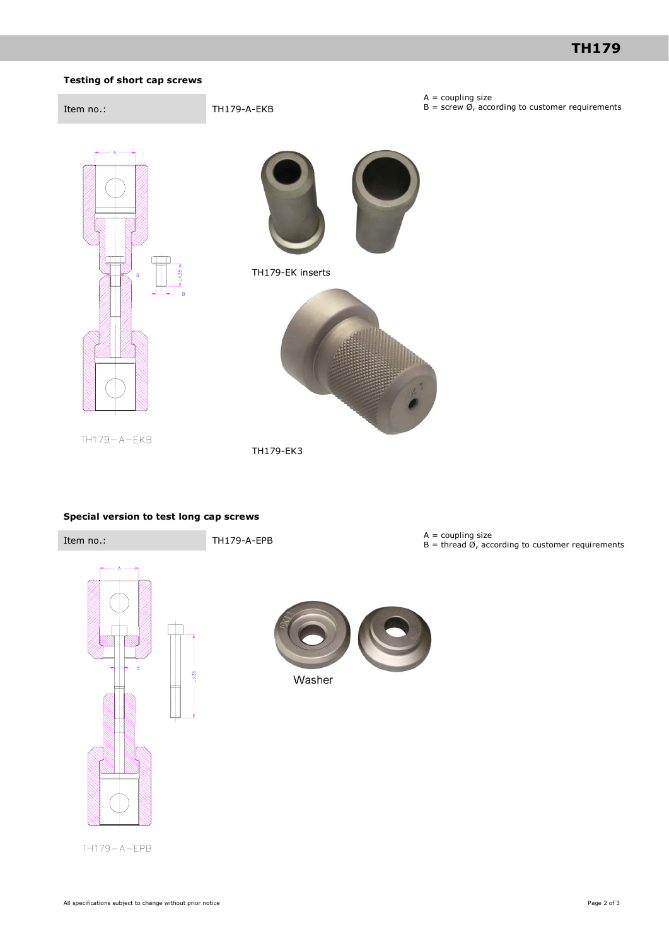### **Testing of short cap screws**

NТ

 $TH179 - A - EKB$ 



L

 $\frac{1}{2}$ 



 $A =$  coupling size

TH179-EK inserts



TH179-EK3

### **Special version to test long cap screws**



TH179-A-EPB